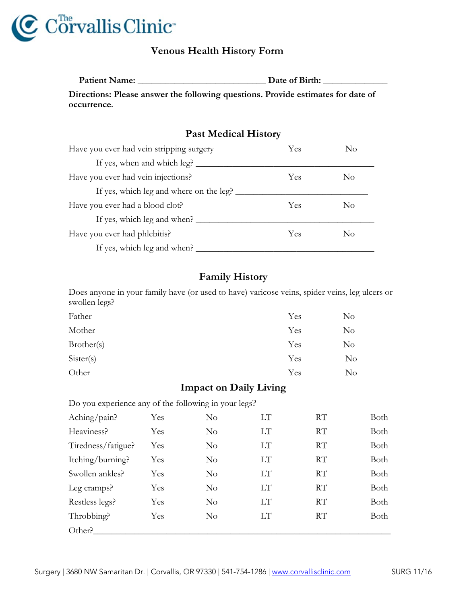

## **Venous Health History Form**

**Patient Name: \_\_\_\_\_\_\_\_\_\_\_\_\_\_\_\_\_\_\_\_\_\_\_\_\_\_\_\_ Date of Birth: \_\_\_\_\_\_\_\_\_\_\_\_\_\_ Directions: Please answer the following questions. Provide estimates for date of occurrence.**

## **Past Medical History**

| Have you ever had vein stripping surgery | Yes | No  |
|------------------------------------------|-----|-----|
| If yes, when and which leg?              |     |     |
| Have you ever had vein injections?       | Yes | No  |
| If yes, which leg and where on the leg?  |     |     |
| Have you ever had a blood clot?          | Yes | No  |
| If yes, which leg and when?              |     |     |
| Have you ever had phlebitis?             | Yes | No. |
| If yes, which leg and when?              |     |     |

## **Family History**

Does anyone in your family have (or used to have) varicose veins, spider veins, leg ulcers or swollen legs?

| Father     | Yes | $\rm No$ |
|------------|-----|----------|
| Mother     | Yes | $\rm No$ |
| Brother(s) | Yes | $\rm No$ |
| Sister(s)  | Yes | $\rm No$ |
| Other      | Yes | No       |

## **Impact on Daily Living**

Do you experience any of the following in your legs?

| Aching/pain?       | Yes | No       | LT        | RT | Both |
|--------------------|-----|----------|-----------|----|------|
| Heaviness?         | Yes | No       | LT        | RT | Both |
| Tiredness/fatigue? | Yes | No       | <b>LT</b> | RT | Both |
| Itching/burning?   | Yes | No       | <b>LT</b> | RT | Both |
| Swollen ankles?    | Yes | No       | <b>LT</b> | RT | Both |
| Leg cramps?        | Yes | No       | LТ        | RT | Both |
| Restless legs?     | Yes | $\rm No$ | LT        | RT | Both |
| Throbbing?         | Yes | No       | LT        | RT | Both |
| Other?             |     |          |           |    |      |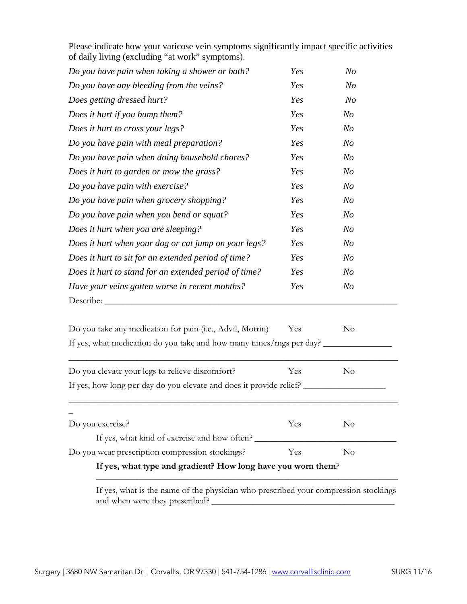| of daily living (excluding "at work" symptoms).                     |     |                |
|---------------------------------------------------------------------|-----|----------------|
| Do you have pain when taking a shower or bath?                      | Yes | N <sub>O</sub> |
| Do you have any bleeding from the veins?                            | Yes | N <sub>O</sub> |
| Does getting dressed hurt?                                          | Yes | N <sub>O</sub> |
| Does it hurt if you bump them?                                      | Yes | N <sub>O</sub> |
| Does it hurt to cross your legs?                                    | Yes | N <sub>O</sub> |
| Do you have pain with meal preparation?                             | Yes | N <sub>O</sub> |
| Do you have pain when doing household chores?                       | Yes | N <sub>o</sub> |
| Does it hurt to garden or mow the grass?                            | Yes | N <sub>O</sub> |
| Do you have pain with exercise?                                     | Yes | N <sub>O</sub> |
| Do you have pain when grocery shopping?                             | Yes | N <sub>O</sub> |
| Do you have pain when you bend or squat?                            | Yes | N <sub>O</sub> |
| Does it hurt when you are sleeping?                                 | Yes | N <sub>O</sub> |
| Does it hurt when your dog or cat jump on your legs?                | Yes | N <sub>O</sub> |
| Does it hurt to sit for an extended period of time?                 | Yes | N <sub>o</sub> |
| Does it hurt to stand for an extended period of time?               | Yes | N <sub>o</sub> |
| Have your veins gotten worse in recent months?                      | Yes | N <sub>o</sub> |
| Describe:                                                           |     |                |
| Do you take any medication for pain (i.e., Advil, Motrin)           | Yes | $\rm No$       |
| If yes, what medication do you take and how many times/mgs per day? |     |                |
| Do you elevate your legs to relieve discomfort?                     | Yes | $\rm No$       |
| If yes, how long per day do you elevate and does it provide relief? |     |                |
|                                                                     |     |                |
| Do you exercise?                                                    | Yes | $\rm No$       |
| If yes, what kind of exercise and how often?                        |     |                |
| Do you wear prescription compression stockings?                     | Yes | $\rm No$       |

Please indicate how your varicose vein symptoms significantly impact specific activities of daily living (excluding "at work" symptoms).

If yes, what is the name of the physician who prescribed your compression stockings and when were they prescribed?